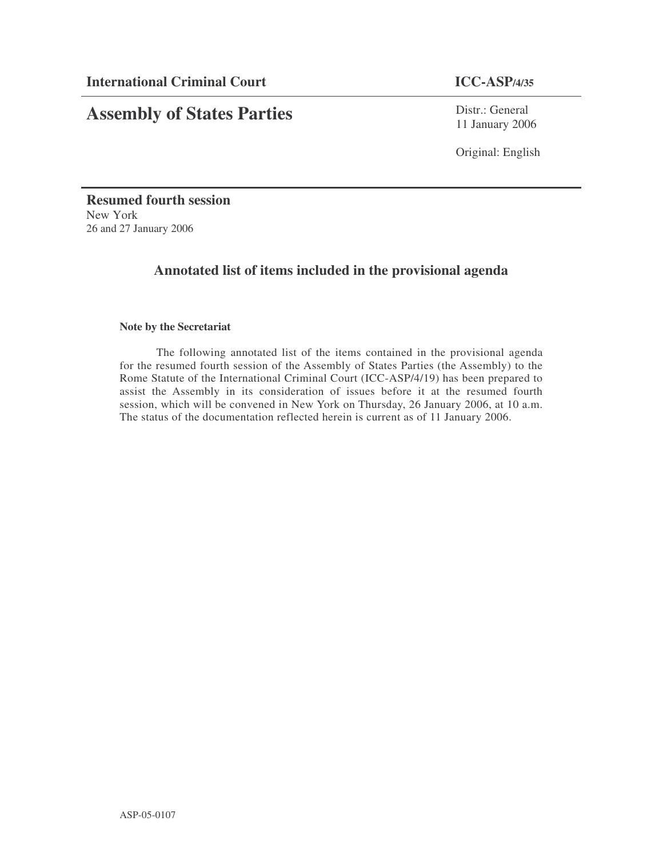# **Assembly of States Parties**

Distr.: General 11 January 2006

Original: English

**Resumed fourth session** New York 26 and 27 January 2006

## **Annotated list of items included in the provisional agenda**

### **Note by the Secretariat**

The following annotated list of the items contained in the provisional agenda for the resumed fourth session of the Assembly of States Parties (the Assembly) to the Rome Statute of the International Criminal Court (ICC-ASP/4/19) has been prepared to assist the Assembly in its consideration of issues before it at the resumed fourth session, which will be convened in New York on Thursday, 26 January 2006, at 10 a.m. The status of the documentation reflected herein is current as of 11 January 2006.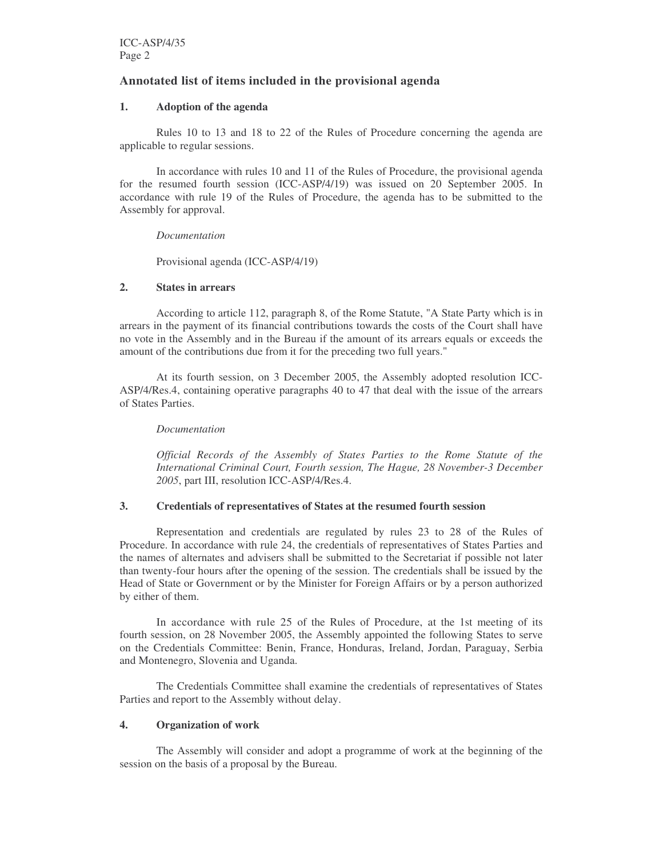### **Annotated list of items included in the provisional agenda**

#### **1. Adoption of the agenda**

Rules 10 to 13 and 18 to 22 of the Rules of Procedure concerning the agenda are applicable to regular sessions.

In accordance with rules 10 and 11 of the Rules of Procedure, the provisional agenda for the resumed fourth session (ICC-ASP/4/19) was issued on 20 September 2005. In accordance with rule 19 of the Rules of Procedure, the agenda has to be submitted to the Assembly for approval.

#### *Documentation*

Provisional agenda (ICC-ASP/4/19)

#### **2. States in arrears**

According to article 112, paragraph 8, of the Rome Statute, "A State Party which is in arrears in the payment of its financial contributions towards the costs of the Court shall have no vote in the Assembly and in the Bureau if the amount of its arrears equals or exceeds the amount of the contributions due from it for the preceding two full years."

At its fourth session, on 3 December 2005, the Assembly adopted resolution ICC-ASP/4/Res.4, containing operative paragraphs 40 to 47 that deal with the issue of the arrears of States Parties.

#### *Documentation*

*Official Records of the Assembly of States Parties to the Rome Statute of the International Criminal Court, Fourth session, The Hague, 28 November-3 December 2005*, part III, resolution ICC-ASP/4/Res.4.

#### **3. Credentials of representatives of States at the resumed fourth session**

Representation and credentials are regulated by rules 23 to 28 of the Rules of Procedure. In accordance with rule 24, the credentials of representatives of States Parties and the names of alternates and advisers shall be submitted to the Secretariat if possible not later than twenty-four hours after the opening of the session. The credentials shall be issued by the Head of State or Government or by the Minister for Foreign Affairs or by a person authorized by either of them.

In accordance with rule 25 of the Rules of Procedure, at the 1st meeting of its fourth session, on 28 November 2005, the Assembly appointed the following States to serve on the Credentials Committee: Benin, France, Honduras, Ireland, Jordan, Paraguay, Serbia and Montenegro, Slovenia and Uganda.

The Credentials Committee shall examine the credentials of representatives of States Parties and report to the Assembly without delay.

#### **4. Organization of work**

The Assembly will consider and adopt a programme of work at the beginning of the session on the basis of a proposal by the Bureau.